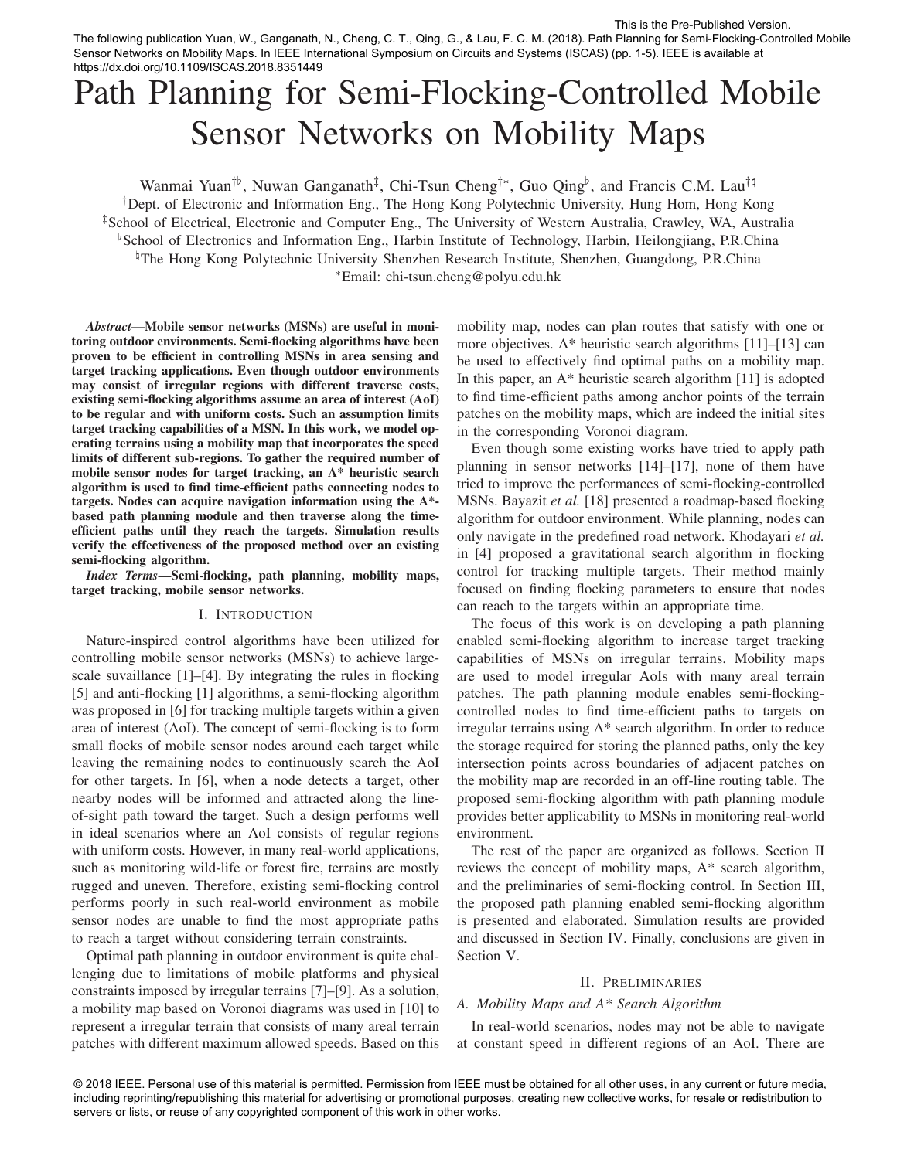This is the Pre-Published Version.

The following publication Yuan, W., Ganganath, N., Cheng, C. T., Qing, G., & Lau, F. C. M. (2018). Path Planning for Semi-Flocking-Controlled Mobile Sensor Networks on Mobility Maps. In IEEE International Symposium on Circuits and Systems (ISCAS) (pp. 1-5). IEEE is available at https://dx.doi.org/10.1109/ISCAS.2018.8351449

# Path Planning for Semi-Flocking-Controlled Mobile Sensor Networks on Mobility Maps

Wanmai Yuan<sup>†b</sup>, Nuwan Ganganath<sup>‡</sup>, Chi-Tsun Cheng<sup>†∗</sup>, Guo Qing<sup>b</sup>, and Francis C.M. Lau<sup>†‡</sup> †Dept. of Electronic and Information Eng., The Hong Kong Polytechnic University, Hung Hom, Hong Kong ‡School of Electrical, Electronic and Computer Eng., The University of Western Australia, Crawley, WA, Australia -School of Electronics and Information Eng., Harbin Institute of Technology, Harbin, Heilongjiang, P.R.China <sup>h</sup>The Hong Kong Polytechnic University Shenzhen Research Institute, Shenzhen, Guangdong, P.R.China ∗Email: chi-tsun.cheng@polyu.edu.hk

*Abstract*—Mobile sensor networks (MSNs) are useful in monitoring outdoor environments. Semi-flocking algorithms have been proven to be efficient in controlling MSNs in area sensing and target tracking applications. Even though outdoor environments may consist of irregular regions with different traverse costs, existing semi-flocking algorithms assume an area of interest (AoI) to be regular and with uniform costs. Such an assumption limits target tracking capabilities of a MSN. In this work, we model operating terrains using a mobility map that incorporates the speed limits of different sub-regions. To gather the required number of mobile sensor nodes for target tracking, an A\* heuristic search algorithm is used to find time-efficient paths connecting nodes to targets. Nodes can acquire navigation information using the A\* based path planning module and then traverse along the timeefficient paths until they reach the targets. Simulation results verify the effectiveness of the proposed method over an existing semi-flocking algorithm.

*Index Terms*—Semi-flocking, path planning, mobility maps, target tracking, mobile sensor networks.

# I. INTRODUCTION

Nature-inspired control algorithms have been utilized for controlling mobile sensor networks (MSNs) to achieve largescale suvaillance [1]–[4]. By integrating the rules in flocking [5] and anti-flocking [1] algorithms, a semi-flocking algorithm was proposed in [6] for tracking multiple targets within a given area of interest (AoI). The concept of semi-flocking is to form small flocks of mobile sensor nodes around each target while leaving the remaining nodes to continuously search the AoI for other targets. In [6], when a node detects a target, other nearby nodes will be informed and attracted along the lineof-sight path toward the target. Such a design performs well in ideal scenarios where an AoI consists of regular regions with uniform costs. However, in many real-world applications, such as monitoring wild-life or forest fire, terrains are mostly rugged and uneven. Therefore, existing semi-flocking control performs poorly in such real-world environment as mobile sensor nodes are unable to find the most appropriate paths to reach a target without considering terrain constraints.

Optimal path planning in outdoor environment is quite challenging due to limitations of mobile platforms and physical constraints imposed by irregular terrains [7]–[9]. As a solution, a mobility map based on Voronoi diagrams was used in [10] to represent a irregular terrain that consists of many areal terrain patches with different maximum allowed speeds. Based on this

mobility map, nodes can plan routes that satisfy with one or more objectives. A\* heuristic search algorithms  $[11]$ – $[13]$  can be used to effectively find optimal paths on a mobility map. In this paper, an  $A^*$  heuristic search algorithm  $[11]$  is adopted to find time-efficient paths among anchor points of the terrain patches on the mobility maps, which are indeed the initial sites in the corresponding Voronoi diagram.

Even though some existing works have tried to apply path planning in sensor networks [14]–[17], none of them have tried to improve the performances of semi-flocking-controlled MSNs. Bayazit *et al.* [18] presented a roadmap-based flocking algorithm for outdoor environment. While planning, nodes can only navigate in the predefined road network. Khodayari *et al.* in [4] proposed a gravitational search algorithm in flocking control for tracking multiple targets. Their method mainly focused on finding flocking parameters to ensure that nodes can reach to the targets within an appropriate time.

The focus of this work is on developing a path planning enabled semi-flocking algorithm to increase target tracking capabilities of MSNs on irregular terrains. Mobility maps are used to model irregular AoIs with many areal terrain patches. The path planning module enables semi-flockingcontrolled nodes to find time-efficient paths to targets on irregular terrains using A\* search algorithm. In order to reduce the storage required for storing the planned paths, only the key intersection points across boundaries of adjacent patches on the mobility map are recorded in an off-line routing table. The proposed semi-flocking algorithm with path planning module provides better applicability to MSNs in monitoring real-world environment.

The rest of the paper are organized as follows. Section II reviews the concept of mobility maps, A\* search algorithm, and the preliminaries of semi-flocking control. In Section III, the proposed path planning enabled semi-flocking algorithm is presented and elaborated. Simulation results are provided and discussed in Section IV. Finally, conclusions are given in Section V.

### II. PRELIMINARIES

#### *A. Mobility Maps and A\* Search Algorithm*

In real-world scenarios, nodes may not be able to navigate at constant speed in different regions of an AoI. There are

<sup>© 2018</sup> IEEE. Personal use of this material is permitted. Permission from IEEE must be obtained for all other uses, in any current or future media, including reprinting/republishing this material for advertising or promotional purposes, creating new collective works, for resale or redistribution to servers or lists, or reuse of any copyrighted component of this work in other works.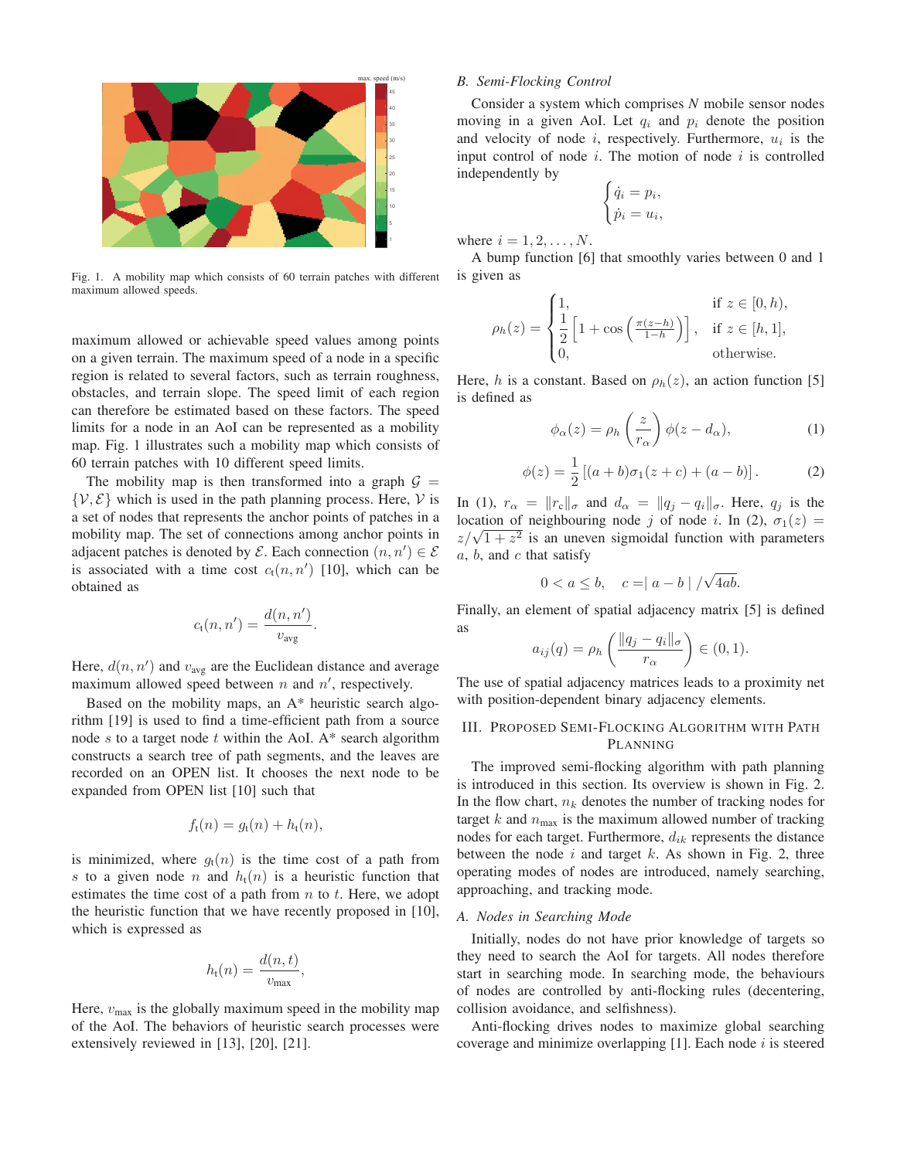

Fig. 1. A mobility map which consists of 60 terrain patches with different maximum allowed speeds.

maximum allowed or achievable speed values among points on a given terrain. The maximum speed of a node in a specific region is related to several factors, such as terrain roughness, obstacles, and terrain slope. The speed limit of each region can therefore be estimated based on these factors. The speed limits for a node in an AoI can be represented as a mobility map. Fig. 1 illustrates such a mobility map which consists of 60 terrain patches with 10 different speed limits.

The mobility map is then transformed into a graph  $G =$  $\{V, E\}$  which is used in the path planning process. Here, V is a set of nodes that represents the anchor points of patches in a mobility map. The set of connections among anchor points in adjacent patches is denoted by  $\mathcal{E}$ . Each connection  $(n, n') \in \mathcal{E}$ is associated with a time cost  $c_t(n, n')$  [10], which can be obtained as

$$
c_{\rm t}(n,n')=\frac{d(n,n')}{v_{\rm avg}}.
$$

Here,  $d(n, n')$  and  $v_{avg}$  are the Euclidean distance and average maximum allowed speed between  $n$  and  $n'$ , respectively.

Based on the mobility maps, an A\* heuristic search algorithm [19] is used to find a time-efficient path from a source node s to a target node  $t$  within the AoI. A\* search algorithm constructs a search tree of path segments, and the leaves are recorded on an OPEN list. It chooses the next node to be expanded from OPEN list [10] such that

$$
f_{\mathfrak{t}}(n) = g_{\mathfrak{t}}(n) + h_{\mathfrak{t}}(n),
$$

is minimized, where  $g_t(n)$  is the time cost of a path from s to a given node n and  $h_t(n)$  is a heuristic function that estimates the time cost of a path from  $n$  to  $t$ . Here, we adopt the heuristic function that we have recently proposed in [10], which is expressed as

$$
h_{t}(n) = \frac{d(n,t)}{v_{\max}},
$$

Here,  $v_{\text{max}}$  is the globally maximum speed in the mobility map of the AoI. The behaviors of heuristic search processes were extensively reviewed in [13], [20], [21].

# *B. Semi-Flocking Control*

Consider a system which comprises *N* mobile sensor nodes moving in a given AoI. Let  $q_i$  and  $p_i$  denote the position and velocity of node  $i$ , respectively. Furthermore,  $u_i$  is the input control of node  $i$ . The motion of node  $i$  is controlled independently by

$$
\begin{cases} \dot{q}_i = p_i, \\ \dot{p}_i = u_i, \end{cases}
$$

where  $i = 1, 2, \ldots, N$ .

A bump function [6] that smoothly varies between 0 and 1 is given as

$$
\rho_h(z) = \begin{cases} 1, & \text{if } z \in [0, h), \\ \frac{1}{2} \left[ 1 + \cos\left(\frac{\pi(z - h)}{1 - h}\right) \right], & \text{if } z \in [h, 1], \\ 0, & \text{otherwise.} \end{cases}
$$

Here, h is a constant. Based on  $\rho_h(z)$ , an action function [5] is defined as

$$
\phi_{\alpha}(z) = \rho_h \left(\frac{z}{r_{\alpha}}\right) \phi(z - d_{\alpha}),\tag{1}
$$

$$
\phi(z) = \frac{1}{2} [(a+b)\sigma_1(z+c) + (a-b)].
$$
 (2)

In (1),  $r_{\alpha} = ||r_c||_{\sigma}$  and  $d_{\alpha} = ||q_j - q_i||_{\sigma}$ . Here,  $q_j$  is the location of neighbouring node j of node i. In (2),  $\sigma_1(z)$  =  $z/\sqrt{1+z^2}$  is an uneven sigmoidal function with parameters  $a, b,$  and  $c$  that satisfy

$$
0 < a \le b, \quad c = |a - b| / \sqrt{4ab}.
$$

Finally, an element of spatial adjacency matrix [5] is defined as

$$
a_{ij}(q) = \rho_h \left( \frac{\|q_j - q_i\|_{\sigma}}{r_{\alpha}} \right) \in (0, 1).
$$

The use of spatial adjacency matrices leads to a proximity net with position-dependent binary adjacency elements.

# III. PROPOSED SEMI-FLOCKING ALGORITHM WITH PATH PLANNING

The improved semi-flocking algorithm with path planning is introduced in this section. Its overview is shown in Fig. 2. In the flow chart,  $n_k$  denotes the number of tracking nodes for target  $k$  and  $n_{\text{max}}$  is the maximum allowed number of tracking nodes for each target. Furthermore,  $d_{ik}$  represents the distance between the node  $i$  and target  $k$ . As shown in Fig. 2, three operating modes of nodes are introduced, namely searching, approaching, and tracking mode.

## *A. Nodes in Searching Mode*

Initially, nodes do not have prior knowledge of targets so they need to search the AoI for targets. All nodes therefore start in searching mode. In searching mode, the behaviours of nodes are controlled by anti-flocking rules (decentering, collision avoidance, and selfishness).

Anti-flocking drives nodes to maximize global searching coverage and minimize overlapping  $[1]$ . Each node i is steered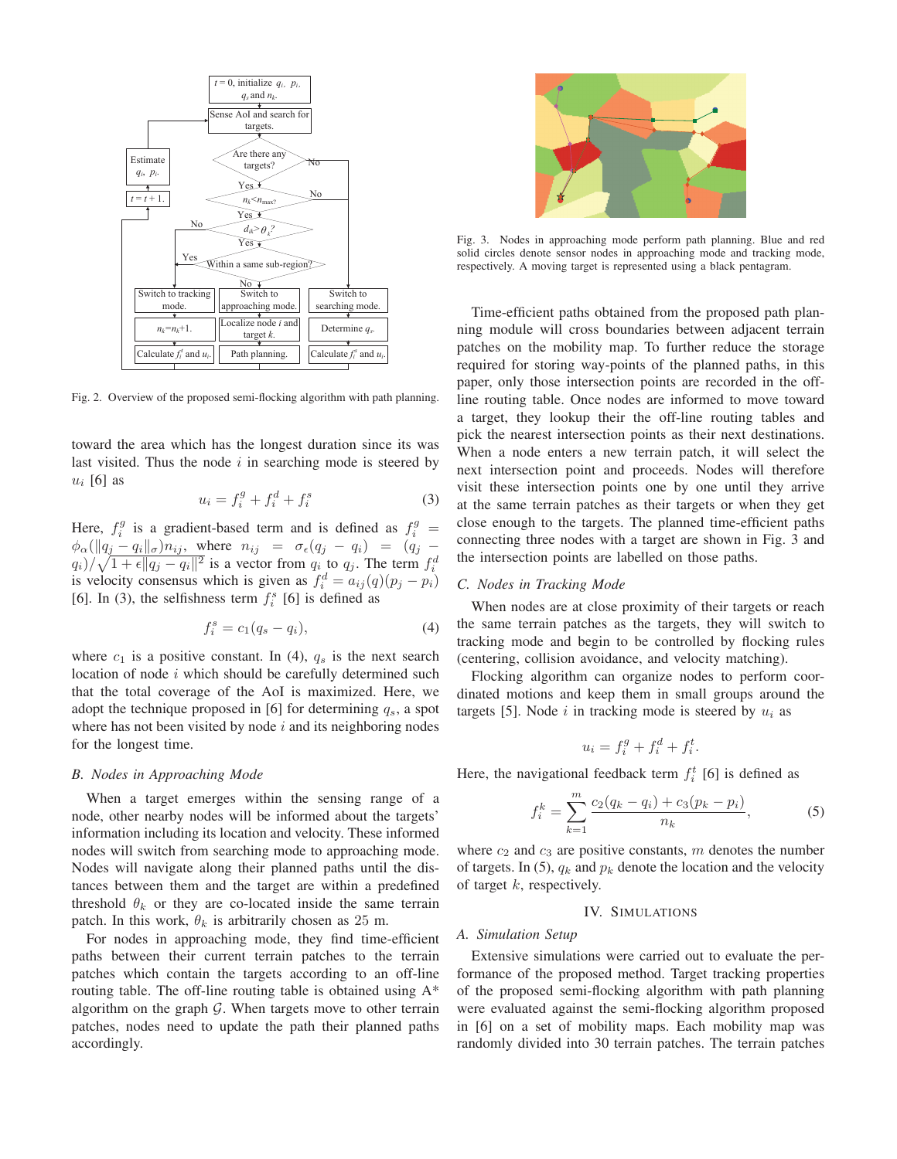

Fig. 2. Overview of the proposed semi-flocking algorithm with path planning.

toward the area which has the longest duration since its was last visited. Thus the node  $i$  in searching mode is steered by  $u_i$  [6] as

$$
u_i = f_i^g + f_i^d + f_i^s \tag{3}
$$

Here,  $f_i^g$  is a gradient-based term and is defined as  $f_i^g$  =  $\phi_{\alpha}(\Vert q_j - q_i \Vert_{\sigma}) n_{ij}$ , where  $n_{ij} = \sigma_{\epsilon}(q_j - q_i) = (q_j - q_i)$  $|q_i\rangle/\sqrt{1+\epsilon||q_j-q_i||^2}$  is a vector from  $q_i$  to  $q_j$ . The term  $f_i^d$ is velocity consensus which is given as  $f_i^d = a_{ij}(q)(p_j - p_i)$ [6]. In (3), the selfishness term  $f_i^s$  [6] is defined as

$$
f_i^s = c_1(q_s - q_i),\tag{4}
$$

where  $c_1$  is a positive constant. In (4),  $q_s$  is the next search location of node  $i$  which should be carefully determined such that the total coverage of the AoI is maximized. Here, we adopt the technique proposed in [6] for determining  $q_s$ , a spot where has not been visited by node  $i$  and its neighboring nodes for the longest time.

#### *B. Nodes in Approaching Mode*

When a target emerges within the sensing range of a node, other nearby nodes will be informed about the targets' information including its location and velocity. These informed nodes will switch from searching mode to approaching mode. Nodes will navigate along their planned paths until the distances between them and the target are within a predefined threshold  $\theta_k$  or they are co-located inside the same terrain patch. In this work,  $\theta_k$  is arbitrarily chosen as 25 m.

For nodes in approaching mode, they find time-efficient paths between their current terrain patches to the terrain patches which contain the targets according to an off-line routing table. The off-line routing table is obtained using A\* algorithm on the graph  $G$ . When targets move to other terrain patches, nodes need to update the path their planned paths accordingly.



Fig. 3. Nodes in approaching mode perform path planning. Blue and red solid circles denote sensor nodes in approaching mode and tracking mode, respectively. A moving target is represented using a black pentagram.

Time-efficient paths obtained from the proposed path planning module will cross boundaries between adjacent terrain patches on the mobility map. To further reduce the storage required for storing way-points of the planned paths, in this paper, only those intersection points are recorded in the offline routing table. Once nodes are informed to move toward a target, they lookup their the off-line routing tables and pick the nearest intersection points as their next destinations. When a node enters a new terrain patch, it will select the next intersection point and proceeds. Nodes will therefore visit these intersection points one by one until they arrive at the same terrain patches as their targets or when they get close enough to the targets. The planned time-efficient paths connecting three nodes with a target are shown in Fig. 3 and the intersection points are labelled on those paths.

#### *C. Nodes in Tracking Mode*

When nodes are at close proximity of their targets or reach the same terrain patches as the targets, they will switch to tracking mode and begin to be controlled by flocking rules (centering, collision avoidance, and velocity matching).

Flocking algorithm can organize nodes to perform coordinated motions and keep them in small groups around the targets [5]. Node  $i$  in tracking mode is steered by  $u_i$  as

$$
u_i = f_i^g + f_i^d + f_i^t.
$$

Here, the navigational feedback term  $f_i^t$  [6] is defined as

$$
f_i^k = \sum_{k=1}^m \frac{c_2(q_k - q_i) + c_3(p_k - p_i)}{n_k},
$$
 (5)

where  $c_2$  and  $c_3$  are positive constants, m denotes the number of targets. In (5),  $q_k$  and  $p_k$  denote the location and the velocity of target  $k$ , respectively.

## IV. SIMULATIONS

#### *A. Simulation Setup*

Extensive simulations were carried out to evaluate the performance of the proposed method. Target tracking properties of the proposed semi-flocking algorithm with path planning were evaluated against the semi-flocking algorithm proposed in [6] on a set of mobility maps. Each mobility map was randomly divided into 30 terrain patches. The terrain patches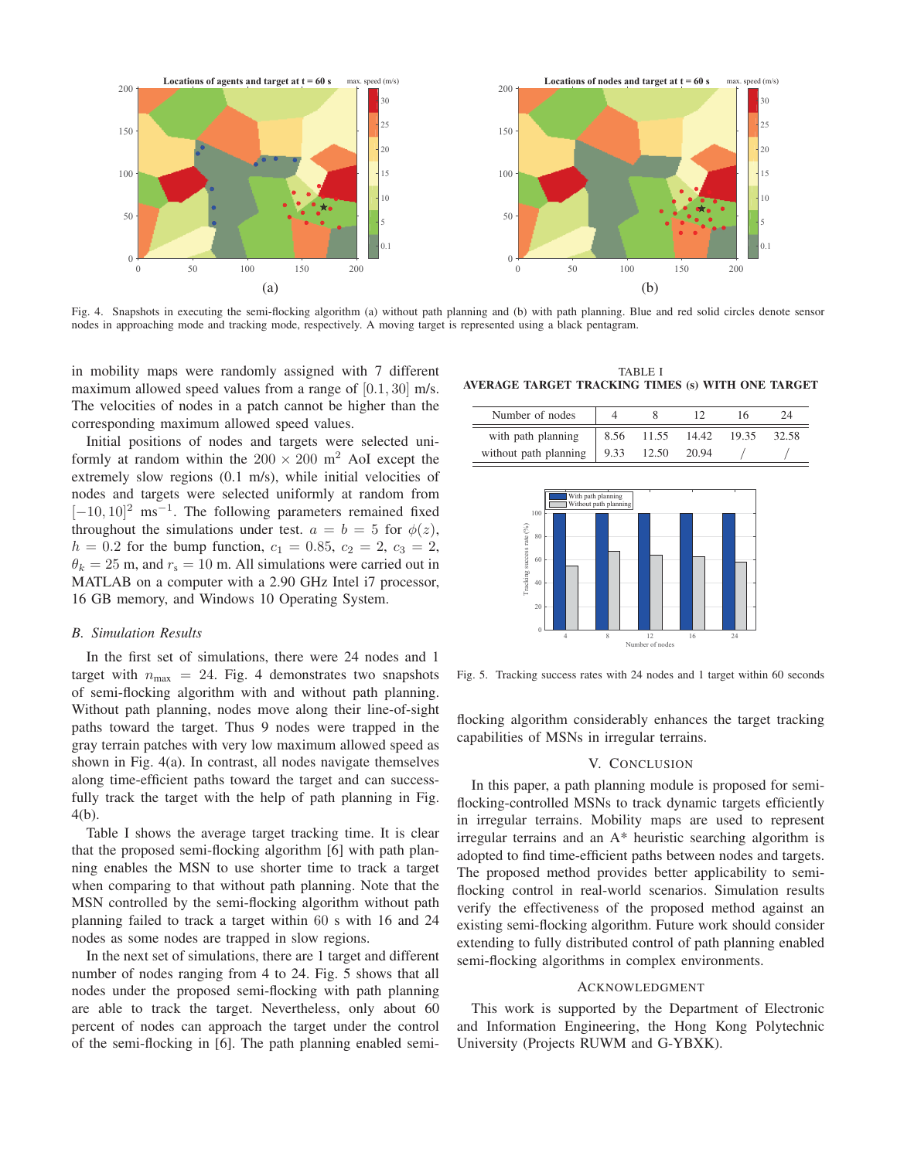

Fig. 4. Snapshots in executing the semi-flocking algorithm (a) without path planning and (b) with path planning. Blue and red solid circles denote sensor nodes in approaching mode and tracking mode, respectively. A moving target is represented using a black pentagram.

in mobility maps were randomly assigned with 7 different maximum allowed speed values from a range of [0.1, 30] m/s. The velocities of nodes in a patch cannot be higher than the corresponding maximum allowed speed values.

Initial positions of nodes and targets were selected uniformly at random within the  $200 \times 200$  m<sup>2</sup> AoI except the extremely slow regions (0.1 m/s), while initial velocities of nodes and targets were selected uniformly at random from  $[-10, 10]$ <sup>2</sup> ms<sup>-1</sup>. The following parameters remained fixed throughout the simulations under test.  $a = b = 5$  for  $\phi(z)$ ,  $h = 0.2$  for the bump function,  $c_1 = 0.85$ ,  $c_2 = 2$ ,  $c_3 = 2$ ,  $\theta_k = 25$  m, and  $r_s = 10$  m. All simulations were carried out in MATLAB on a computer with a 2.90 GHz Intel i7 processor, 16 GB memory, and Windows 10 Operating System.

## *B. Simulation Results*

In the first set of simulations, there were 24 nodes and 1 target with  $n_{\text{max}} = 24$ . Fig. 4 demonstrates two snapshots of semi-flocking algorithm with and without path planning. Without path planning, nodes move along their line-of-sight paths toward the target. Thus 9 nodes were trapped in the gray terrain patches with very low maximum allowed speed as shown in Fig. 4(a). In contrast, all nodes navigate themselves along time-efficient paths toward the target and can successfully track the target with the help of path planning in Fig. 4(b).

Table I shows the average target tracking time. It is clear that the proposed semi-flocking algorithm [6] with path planning enables the MSN to use shorter time to track a target when comparing to that without path planning. Note that the MSN controlled by the semi-flocking algorithm without path planning failed to track a target within 60 s with 16 and 24 nodes as some nodes are trapped in slow regions.

In the next set of simulations, there are 1 target and different number of nodes ranging from 4 to 24. Fig. 5 shows that all nodes under the proposed semi-flocking with path planning are able to track the target. Nevertheless, only about 60 percent of nodes can approach the target under the control of the semi-flocking in [6]. The path planning enabled semi-

TABLE I AVERAGE TARGET TRACKING TIMES (s) WITH ONE TARGET

| Number of nodes       |       |       |       |       |  |
|-----------------------|-------|-------|-------|-------|--|
| with path planning    | 8.56  | 11.55 | 14.42 | 19.35 |  |
| without path planning | 19.33 | 12.50 | 20.94 |       |  |



Fig. 5. Tracking success rates with 24 nodes and 1 target within 60 seconds

flocking algorithm considerably enhances the target tracking capabilities of MSNs in irregular terrains.

#### V. CONCLUSION

In this paper, a path planning module is proposed for semiflocking-controlled MSNs to track dynamic targets efficiently in irregular terrains. Mobility maps are used to represent irregular terrains and an A\* heuristic searching algorithm is adopted to find time-efficient paths between nodes and targets. The proposed method provides better applicability to semiflocking control in real-world scenarios. Simulation results verify the effectiveness of the proposed method against an existing semi-flocking algorithm. Future work should consider extending to fully distributed control of path planning enabled semi-flocking algorithms in complex environments.

#### ACKNOWLEDGMENT

This work is supported by the Department of Electronic and Information Engineering, the Hong Kong Polytechnic University (Projects RUWM and G-YBXK).